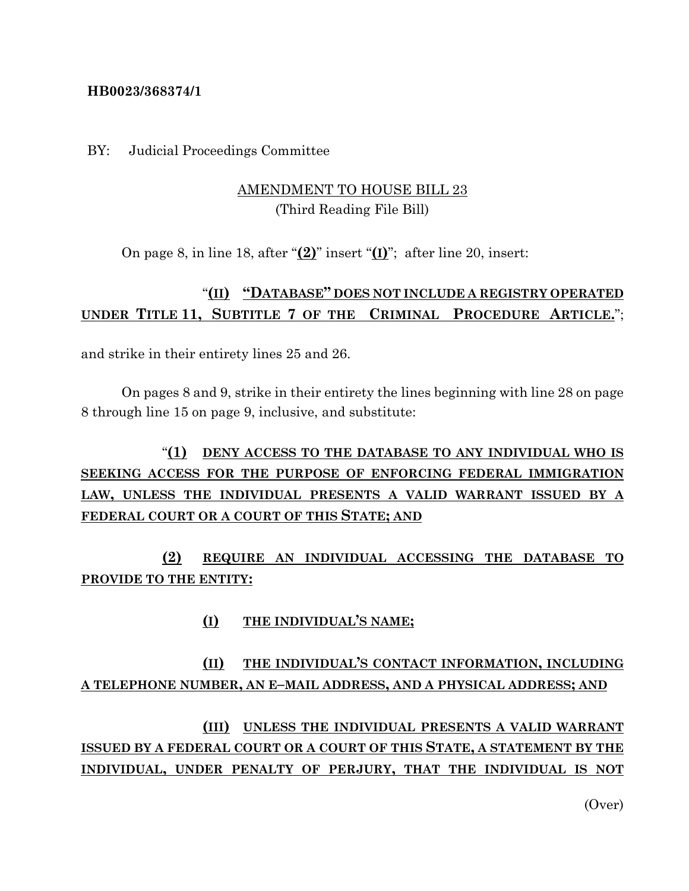## **HB0023/368374/1**

BY: Judicial Proceedings Committee

## AMENDMENT TO HOUSE BILL 23 (Third Reading File Bill)

On page 8, in line 18, after "**(2)**" insert "**(I)**"; after line 20, insert:

## "**(II) "DATABASE" DOES NOT INCLUDE A REGISTRY OPERATED UNDER TITLE 11, SUBTITLE 7 OF THE CRIMINAL PROCEDURE ARTICLE.**";

and strike in their entirety lines 25 and 26.

On pages 8 and 9, strike in their entirety the lines beginning with line 28 on page 8 through line 15 on page 9, inclusive, and substitute:

## "**(1) DENY ACCESS TO THE DATABASE TO ANY INDIVIDUAL WHO IS SEEKING ACCESS FOR THE PURPOSE OF ENFORCING FEDERAL IMMIGRATION LAW, UNLESS THE INDIVIDUAL PRESENTS A VALID WARRANT ISSUED BY A FEDERAL COURT OR A COURT OF THIS STATE; AND**

**(2) REQUIRE AN INDIVIDUAL ACCESSING THE DATABASE TO PROVIDE TO THE ENTITY:**

**(I) THE INDIVIDUAL'S NAME;**

**(II) THE INDIVIDUAL'S CONTACT INFORMATION, INCLUDING A TELEPHONE NUMBER, AN E–MAIL ADDRESS, AND A PHYSICAL ADDRESS; AND**

**(III) UNLESS THE INDIVIDUAL PRESENTS A VALID WARRANT ISSUED BY A FEDERAL COURT OR A COURT OF THIS STATE, A STATEMENT BY THE INDIVIDUAL, UNDER PENALTY OF PERJURY, THAT THE INDIVIDUAL IS NOT** 

(Over)